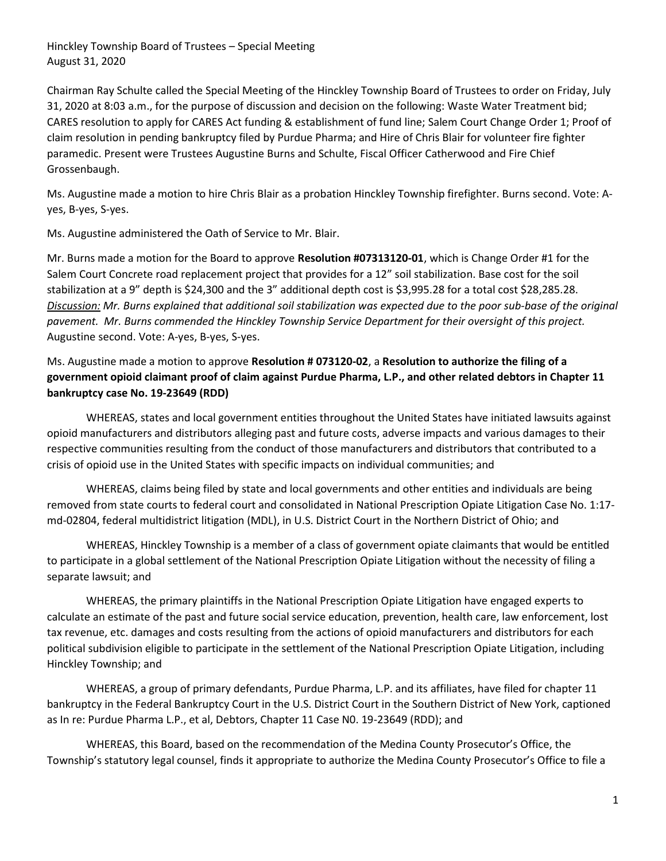Chairman Ray Schulte called the Special Meeting of the Hinckley Township Board of Trustees to order on Friday, July 31, 2020 at 8:03 a.m., for the purpose of discussion and decision on the following: Waste Water Treatment bid; CARES resolution to apply for CARES Act funding & establishment of fund line; Salem Court Change Order 1; Proof of claim resolution in pending bankruptcy filed by Purdue Pharma; and Hire of Chris Blair for volunteer fire fighter paramedic. Present were Trustees Augustine Burns and Schulte, Fiscal Officer Catherwood and Fire Chief Grossenbaugh.

Ms. Augustine made a motion to hire Chris Blair as a probation Hinckley Township firefighter. Burns second. Vote: Ayes, B-yes, S-yes.

Ms. Augustine administered the Oath of Service to Mr. Blair.

Mr. Burns made a motion for the Board to approve Resolution #07313120-01, which is Change Order #1 for the Salem Court Concrete road replacement project that provides for a 12" soil stabilization. Base cost for the soil stabilization at a 9" depth is \$24,300 and the 3" additional depth cost is \$3,995.28 for a total cost \$28,285.28. Discussion: Mr. Burns explained that additional soil stabilization was expected due to the poor sub-base of the original pavement. Mr. Burns commended the Hinckley Township Service Department for their oversight of this project. Augustine second. Vote: A-yes, B-yes, S-yes.

Ms. Augustine made a motion to approve Resolution # 073120-02, a Resolution to authorize the filing of a government opioid claimant proof of claim against Purdue Pharma, L.P., and other related debtors in Chapter 11 bankruptcy case No. 19-23649 (RDD)

 WHEREAS, states and local government entities throughout the United States have initiated lawsuits against opioid manufacturers and distributors alleging past and future costs, adverse impacts and various damages to their respective communities resulting from the conduct of those manufacturers and distributors that contributed to a crisis of opioid use in the United States with specific impacts on individual communities; and

 WHEREAS, claims being filed by state and local governments and other entities and individuals are being removed from state courts to federal court and consolidated in National Prescription Opiate Litigation Case No. 1:17 md-02804, federal multidistrict litigation (MDL), in U.S. District Court in the Northern District of Ohio; and

 WHEREAS, Hinckley Township is a member of a class of government opiate claimants that would be entitled to participate in a global settlement of the National Prescription Opiate Litigation without the necessity of filing a separate lawsuit; and

 WHEREAS, the primary plaintiffs in the National Prescription Opiate Litigation have engaged experts to calculate an estimate of the past and future social service education, prevention, health care, law enforcement, lost tax revenue, etc. damages and costs resulting from the actions of opioid manufacturers and distributors for each political subdivision eligible to participate in the settlement of the National Prescription Opiate Litigation, including Hinckley Township; and

 WHEREAS, a group of primary defendants, Purdue Pharma, L.P. and its affiliates, have filed for chapter 11 bankruptcy in the Federal Bankruptcy Court in the U.S. District Court in the Southern District of New York, captioned as In re: Purdue Pharma L.P., et al, Debtors, Chapter 11 Case N0. 19-23649 (RDD); and

 WHEREAS, this Board, based on the recommendation of the Medina County Prosecutor's Office, the Township's statutory legal counsel, finds it appropriate to authorize the Medina County Prosecutor's Office to file a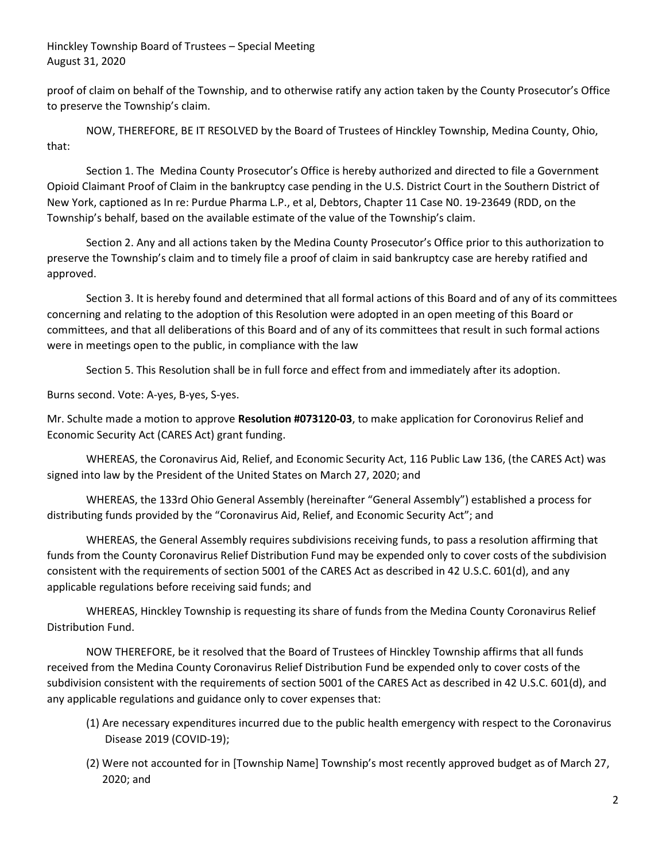proof of claim on behalf of the Township, and to otherwise ratify any action taken by the County Prosecutor's Office to preserve the Township's claim.

 NOW, THEREFORE, BE IT RESOLVED by the Board of Trustees of Hinckley Township, Medina County, Ohio, that:

 Section 1. The Medina County Prosecutor's Office is hereby authorized and directed to file a Government Opioid Claimant Proof of Claim in the bankruptcy case pending in the U.S. District Court in the Southern District of New York, captioned as In re: Purdue Pharma L.P., et al, Debtors, Chapter 11 Case N0. 19-23649 (RDD, on the Township's behalf, based on the available estimate of the value of the Township's claim.

 Section 2. Any and all actions taken by the Medina County Prosecutor's Office prior to this authorization to preserve the Township's claim and to timely file a proof of claim in said bankruptcy case are hereby ratified and approved.

 Section 3. It is hereby found and determined that all formal actions of this Board and of any of its committees concerning and relating to the adoption of this Resolution were adopted in an open meeting of this Board or committees, and that all deliberations of this Board and of any of its committees that result in such formal actions were in meetings open to the public, in compliance with the law

Section 5. This Resolution shall be in full force and effect from and immediately after its adoption.

Burns second. Vote: A-yes, B-yes, S-yes.

Mr. Schulte made a motion to approve Resolution #073120-03, to make application for Coronovirus Relief and Economic Security Act (CARES Act) grant funding.

 WHEREAS, the Coronavirus Aid, Relief, and Economic Security Act, 116 Public Law 136, (the CARES Act) was signed into law by the President of the United States on March 27, 2020; and

 WHEREAS, the 133rd Ohio General Assembly (hereinafter "General Assembly") established a process for distributing funds provided by the "Coronavirus Aid, Relief, and Economic Security Act"; and

 WHEREAS, the General Assembly requires subdivisions receiving funds, to pass a resolution affirming that funds from the County Coronavirus Relief Distribution Fund may be expended only to cover costs of the subdivision consistent with the requirements of section 5001 of the CARES Act as described in 42 U.S.C. 601(d), and any applicable regulations before receiving said funds; and

 WHEREAS, Hinckley Township is requesting its share of funds from the Medina County Coronavirus Relief Distribution Fund.

 NOW THEREFORE, be it resolved that the Board of Trustees of Hinckley Township affirms that all funds received from the Medina County Coronavirus Relief Distribution Fund be expended only to cover costs of the subdivision consistent with the requirements of section 5001 of the CARES Act as described in 42 U.S.C. 601(d), and any applicable regulations and guidance only to cover expenses that:

- (1) Are necessary expenditures incurred due to the public health emergency with respect to the Coronavirus Disease 2019 (COVID-19);
- (2) Were not accounted for in [Township Name] Township's most recently approved budget as of March 27, 2020; and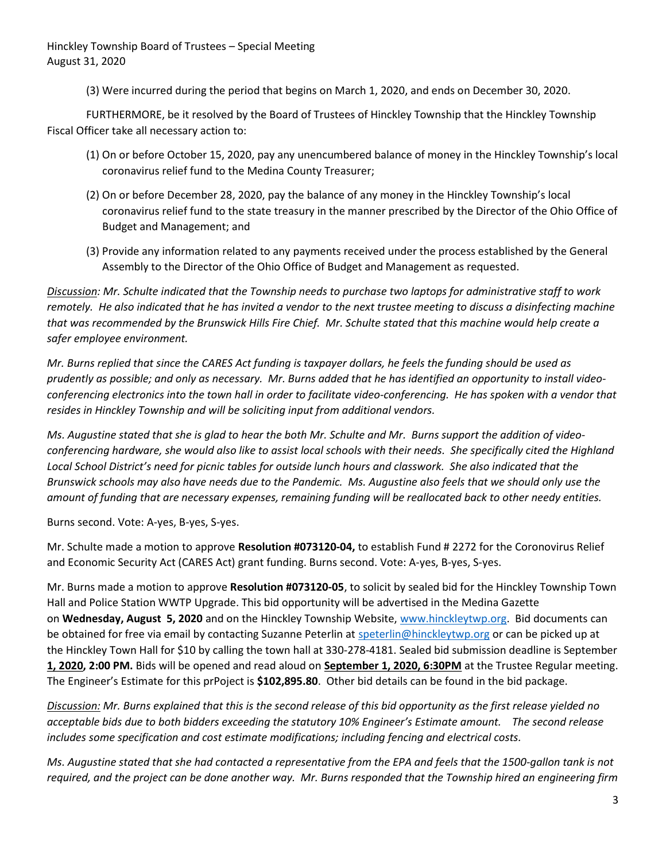(3) Were incurred during the period that begins on March 1, 2020, and ends on December 30, 2020.

 FURTHERMORE, be it resolved by the Board of Trustees of Hinckley Township that the Hinckley Township Fiscal Officer take all necessary action to:

- (1) On or before October 15, 2020, pay any unencumbered balance of money in the Hinckley Township's local coronavirus relief fund to the Medina County Treasurer;
- (2) On or before December 28, 2020, pay the balance of any money in the Hinckley Township's local coronavirus relief fund to the state treasury in the manner prescribed by the Director of the Ohio Office of Budget and Management; and
- (3) Provide any information related to any payments received under the process established by the General Assembly to the Director of the Ohio Office of Budget and Management as requested.

Discussion: Mr. Schulte indicated that the Township needs to purchase two laptops for administrative staff to work remotely. He also indicated that he has invited a vendor to the next trustee meeting to discuss a disinfecting machine that was recommended by the Brunswick Hills Fire Chief. Mr. Schulte stated that this machine would help create a safer employee environment.

Mr. Burns replied that since the CARES Act funding is taxpayer dollars, he feels the funding should be used as prudently as possible; and only as necessary. Mr. Burns added that he has identified an opportunity to install videoconferencing electronics into the town hall in order to facilitate video-conferencing. He has spoken with a vendor that resides in Hinckley Township and will be soliciting input from additional vendors.

Ms. Augustine stated that she is glad to hear the both Mr. Schulte and Mr. Burns support the addition of videoconferencing hardware, she would also like to assist local schools with their needs. She specifically cited the Highland Local School District's need for picnic tables for outside lunch hours and classwork. She also indicated that the Brunswick schools may also have needs due to the Pandemic. Ms. Augustine also feels that we should only use the amount of funding that are necessary expenses, remaining funding will be reallocated back to other needy entities.

Burns second. Vote: A-yes, B-yes, S-yes.

Mr. Schulte made a motion to approve Resolution #073120-04, to establish Fund # 2272 for the Coronovirus Relief and Economic Security Act (CARES Act) grant funding. Burns second. Vote: A-yes, B-yes, S-yes.

Mr. Burns made a motion to approve Resolution #073120-05, to solicit by sealed bid for the Hinckley Township Town Hall and Police Station WWTP Upgrade. This bid opportunity will be advertised in the Medina Gazette on Wednesday, August 5, 2020 and on the Hinckley Township Website, www.hinckleytwp.org. Bid documents can be obtained for free via email by contacting Suzanne Peterlin at speterlin@hinckleytwp.org or can be picked up at the Hinckley Town Hall for \$10 by calling the town hall at 330-278-4181. Sealed bid submission deadline is September 1, 2020, 2:00 PM. Bids will be opened and read aloud on September 1, 2020, 6:30PM at the Trustee Regular meeting. The Engineer's Estimate for this prPoject is \$102,895.80. Other bid details can be found in the bid package.

Discussion: Mr. Burns explained that this is the second release of this bid opportunity as the first release yielded no acceptable bids due to both bidders exceeding the statutory 10% Engineer's Estimate amount. The second release includes some specification and cost estimate modifications; including fencing and electrical costs.

Ms. Augustine stated that she had contacted a representative from the EPA and feels that the 1500-gallon tank is not required, and the project can be done another way. Mr. Burns responded that the Township hired an engineering firm